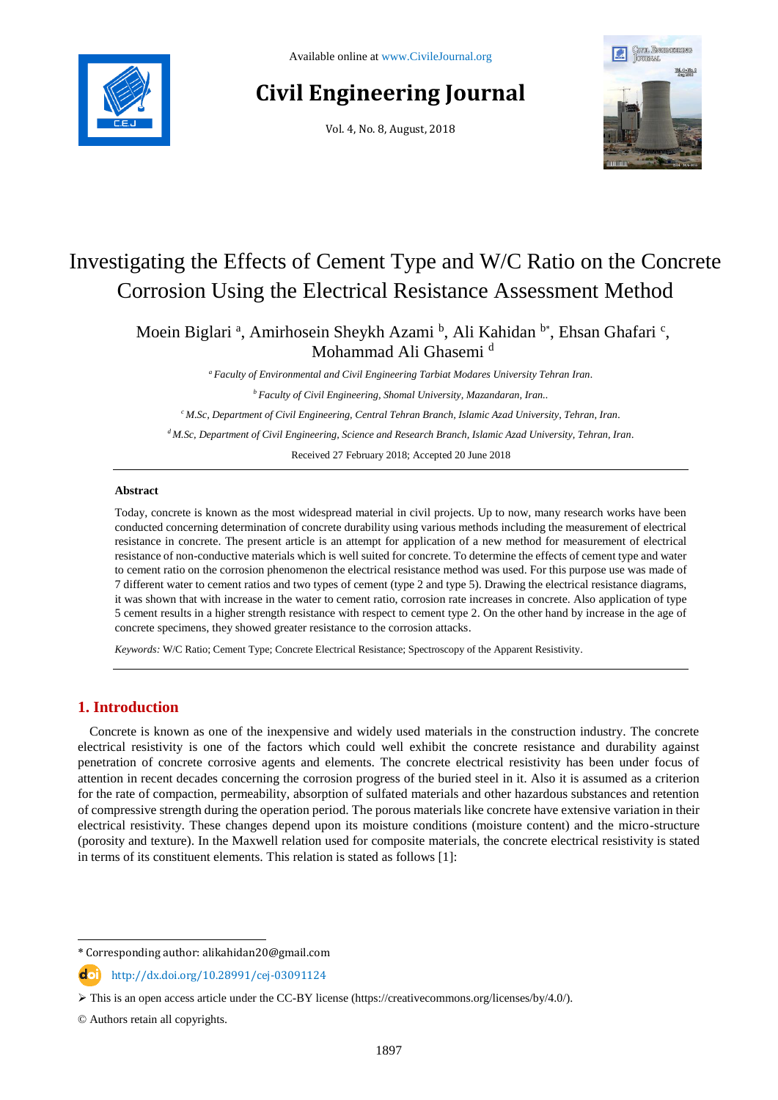

# **Civil Engineering Journal**

Vol. 4, No. 8, August, 2018



# Investigating the Effects of Cement Type and W/C Ratio on the Concrete Corrosion Using the Electrical Resistance Assessment Method

Moein Biglari <sup>a</sup>, Amirhosein Sheykh Azami <sup>b</sup>, Ali Kahidan <sup>b\*</sup>, Ehsan Ghafari <sup>c</sup>, Mohammad Ali Ghasemi<sup>d</sup>

*<sup>a</sup> Faculty of Environmental and Civil Engineering Tarbiat Modares University Tehran Iran.*

*<sup>b</sup> Faculty of Civil Engineering, Shomal University, Mazandaran, Iran..*

*<sup>c</sup>M.Sc, Department of Civil Engineering, Central Tehran Branch, Islamic Azad University, Tehran, Iran.*

*<sup>d</sup>M.Sc, Department of Civil Engineering, Science and Research Branch, Islamic Azad University, Tehran, Iran.*

Received 27 February 2018; Accepted 20 June 2018

### **Abstract**

Today, concrete is known as the most widespread material in civil projects. Up to now, many research works have been conducted concerning determination of concrete durability using various methods including the measurement of electrical resistance in concrete. The present article is an attempt for application of a new method for measurement of electrical resistance of non-conductive materials which is well suited for concrete. To determine the effects of cement type and water to cement ratio on the corrosion phenomenon the electrical resistance method was used. For this purpose use was made of 7 different water to cement ratios and two types of cement (type 2 and type 5). Drawing the electrical resistance diagrams, it was shown that with increase in the water to cement ratio, corrosion rate increases in concrete. Also application of type 5 cement results in a higher strength resistance with respect to cement type 2. On the other hand by increase in the age of concrete specimens, they showed greater resistance to the corrosion attacks.

*Keywords:* W/C Ratio; Cement Type; Concrete Electrical Resistance; Spectroscopy of the Apparent Resistivity.

# **1. Introduction**

Concrete is known as one of the inexpensive and widely used materials in the construction industry. The concrete electrical resistivity is one of the factors which could well exhibit the concrete resistance and durability against penetration of concrete corrosive agents and elements. The concrete electrical resistivity has been under focus of attention in recent decades concerning the corrosion progress of the buried steel in it. Also it is assumed as a criterion for the rate of compaction, permeability, absorption of sulfated materials and other hazardous substances and retention of compressive strength during the operation period. The porous materials like concrete have extensive variation in their electrical resistivity. These changes depend upon its moisture conditions (moisture content) and the micro-structure (porosity and texture). In the Maxwell relation used for composite materials, the concrete electrical resistivity is stated in terms of its constituent elements. This relation is stated as follows [1]:

l

<sup>\*</sup> Corresponding author: alikahidan20@gmail.com

http://dx.doi.org/10.28991/cej-03091124

This is an open access article under the CC-BY license [\(https://creativecommons.org/licenses/by/4.0/\)](https://creativecommons.org/licenses/by/4.0/).

<sup>©</sup> Authors retain all copyrights.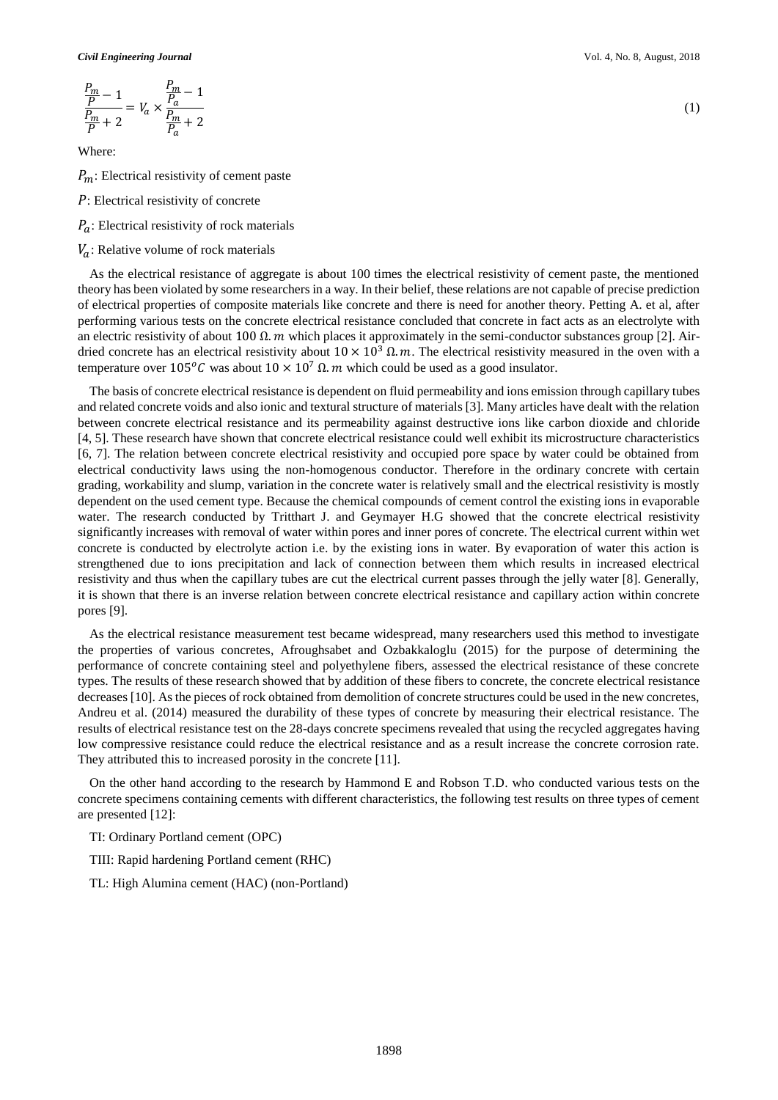*Civil Engineering Journal* Vol. 4, No. 8, August, 2018

$$
\frac{\frac{P_m}{P}-1}{\frac{P_m}{P}+2}=V_a\times\frac{\frac{P_m}{P_a}-1}{\frac{P_m}{P_a}+2}
$$

Where:

 $P_m$ : Electrical resistivity of cement paste

- : Electrical resistivity of concrete
- $P_a$ : Electrical resistivity of rock materials
- $V_a$ : Relative volume of rock materials

As the electrical resistance of aggregate is about 100 times the electrical resistivity of cement paste, the mentioned theory has been violated by some researchers in a way. In their belief, these relations are not capable of precise prediction of electrical properties of composite materials like concrete and there is need for another theory. Petting A. et al, after performing various tests on the concrete electrical resistance concluded that concrete in fact acts as an electrolyte with an electric resistivity of about 100  $\Omega$ . *m* which places it approximately in the semi-conductor substances group [2]. Airdried concrete has an electrical resistivity about  $10 \times 10^3 \Omega$ . The electrical resistivity measured in the oven with a temperature over 105<sup>o</sup>C was about 10 × 10<sup>7</sup> Ω. *m* which could be used as a good insulator.

The basis of concrete electrical resistance is dependent on fluid permeability and ions emission through capillary tubes and related concrete voids and also ionic and textural structure of materials [3]. Many articles have dealt with the relation between concrete electrical resistance and its permeability against destructive ions like carbon dioxide and chloride [4, 5]. These research have shown that concrete electrical resistance could well exhibit its microstructure characteristics [6, 7]. The relation between concrete electrical resistivity and occupied pore space by water could be obtained from electrical conductivity laws using the non-homogenous conductor. Therefore in the ordinary concrete with certain grading, workability and slump, variation in the concrete water is relatively small and the electrical resistivity is mostly dependent on the used cement type. Because the chemical compounds of cement control the existing ions in evaporable water. The research conducted by Tritthart J. and Geymayer H.G showed that the concrete electrical resistivity significantly increases with removal of water within pores and inner pores of concrete. The electrical current within wet concrete is conducted by electrolyte action i.e. by the existing ions in water. By evaporation of water this action is strengthened due to ions precipitation and lack of connection between them which results in increased electrical resistivity and thus when the capillary tubes are cut the electrical current passes through the jelly water [8]. Generally, it is shown that there is an inverse relation between concrete electrical resistance and capillary action within concrete pores [9].

As the electrical resistance measurement test became widespread, many researchers used this method to investigate the properties of various concretes, Afroughsabet and Ozbakkaloglu (2015) for the purpose of determining the performance of concrete containing steel and polyethylene fibers, assessed the electrical resistance of these concrete types. The results of these research showed that by addition of these fibers to concrete, the concrete electrical resistance decreases [10]. As the pieces of rock obtained from demolition of concrete structures could be used in the new concretes, Andreu et al. (2014) measured the durability of these types of concrete by measuring their electrical resistance. The results of electrical resistance test on the 28-days concrete specimens revealed that using the recycled aggregates having low compressive resistance could reduce the electrical resistance and as a result increase the concrete corrosion rate. They attributed this to increased porosity in the concrete [11].

On the other hand according to the research by Hammond E and Robson T.D. who conducted various tests on the concrete specimens containing cements with different characteristics, the following test results on three types of cement are presented [12]:

TI: Ordinary Portland cement (OPC)

TIII: Rapid hardening Portland cement (RHC)

TL: High Alumina cement (HAC) (non-Portland)

(1)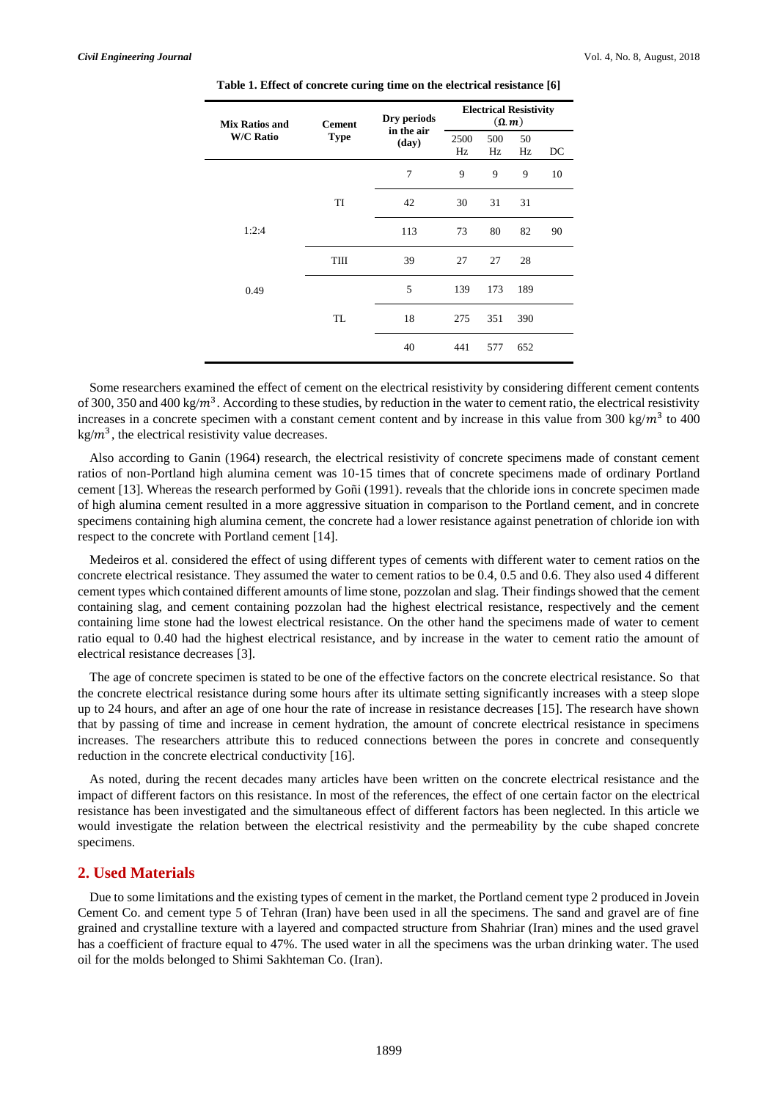| Mix Ratios and<br><b>W/C Ratio</b> | <b>Cement</b><br><b>Type</b> | Dry periods<br>in the air<br>(day) | <b>Electrical Resistivity</b><br>$(\Omega, m)$ |           |          |    |
|------------------------------------|------------------------------|------------------------------------|------------------------------------------------|-----------|----------|----|
|                                    |                              |                                    | 2500<br>Hz                                     | 500<br>Hz | 50<br>Hz | DC |
|                                    |                              | 7                                  | 9                                              | 9         | 9        | 10 |
|                                    | TI                           | 42                                 | 30                                             | 31        | 31       |    |
| 1:2:4                              |                              | 113                                | 73                                             | 80        | 82       | 90 |
|                                    | TIII                         | 39                                 | 27                                             | 27        | 28       |    |
| 0.49                               |                              | 5                                  | 139                                            | 173       | 189      |    |
|                                    | TL                           | 18                                 | 275                                            | 351       | 390      |    |
|                                    |                              | 40                                 | 441                                            | 577       | 652      |    |

**Table 1. Effect of concrete curing time on the electrical resistance [6]**

Some researchers examined the effect of cement on the electrical resistivity by considering different cement contents of 300, 350 and 400 kg/ $m^3$ . According to these studies, by reduction in the water to cement ratio, the electrical resistivity increases in a concrete specimen with a constant cement content and by increase in this value from 300 kg/ $m<sup>3</sup>$  to 400  $kg/m<sup>3</sup>$ , the electrical resistivity value decreases.

Also according to Ganin (1964) research, the electrical resistivity of concrete specimens made of constant cement ratios of non-Portland high alumina cement was 10-15 times that of concrete specimens made of ordinary Portland cement [13]. Whereas the research performed by Goñi (1991). reveals that the chloride ions in concrete specimen made of high alumina cement resulted in a more aggressive situation in comparison to the Portland cement, and in concrete specimens containing high alumina cement, the concrete had a lower resistance against penetration of chloride ion with respect to the concrete with Portland cement [14].

Medeiros et al. considered the effect of using different types of cements with different water to cement ratios on the concrete electrical resistance. They assumed the water to cement ratios to be 0.4, 0.5 and 0.6. They also used 4 different cement types which contained different amounts of lime stone, pozzolan and slag. Their findings showed that the cement containing slag, and cement containing pozzolan had the highest electrical resistance, respectively and the cement containing lime stone had the lowest electrical resistance. On the other hand the specimens made of water to cement ratio equal to 0.40 had the highest electrical resistance, and by increase in the water to cement ratio the amount of electrical resistance decreases [3].

The age of concrete specimen is stated to be one of the effective factors on the concrete electrical resistance. So that the concrete electrical resistance during some hours after its ultimate setting significantly increases with a steep slope up to 24 hours, and after an age of one hour the rate of increase in resistance decreases [15]. The research have shown that by passing of time and increase in cement hydration, the amount of concrete electrical resistance in specimens increases. The researchers attribute this to reduced connections between the pores in concrete and consequently reduction in the concrete electrical conductivity [16].

As noted, during the recent decades many articles have been written on the concrete electrical resistance and the impact of different factors on this resistance. In most of the references, the effect of one certain factor on the electrical resistance has been investigated and the simultaneous effect of different factors has been neglected. In this article we would investigate the relation between the electrical resistivity and the permeability by the cube shaped concrete specimens.

### **2. Used Materials**

Due to some limitations and the existing types of cement in the market, the Portland cement type 2 produced in Jovein Cement Co. and cement type 5 of Tehran (Iran) have been used in all the specimens. The sand and gravel are of fine grained and crystalline texture with a layered and compacted structure from Shahriar (Iran) mines and the used gravel has a coefficient of fracture equal to 47%. The used water in all the specimens was the urban drinking water. The used oil for the molds belonged to Shimi Sakhteman Co. (Iran).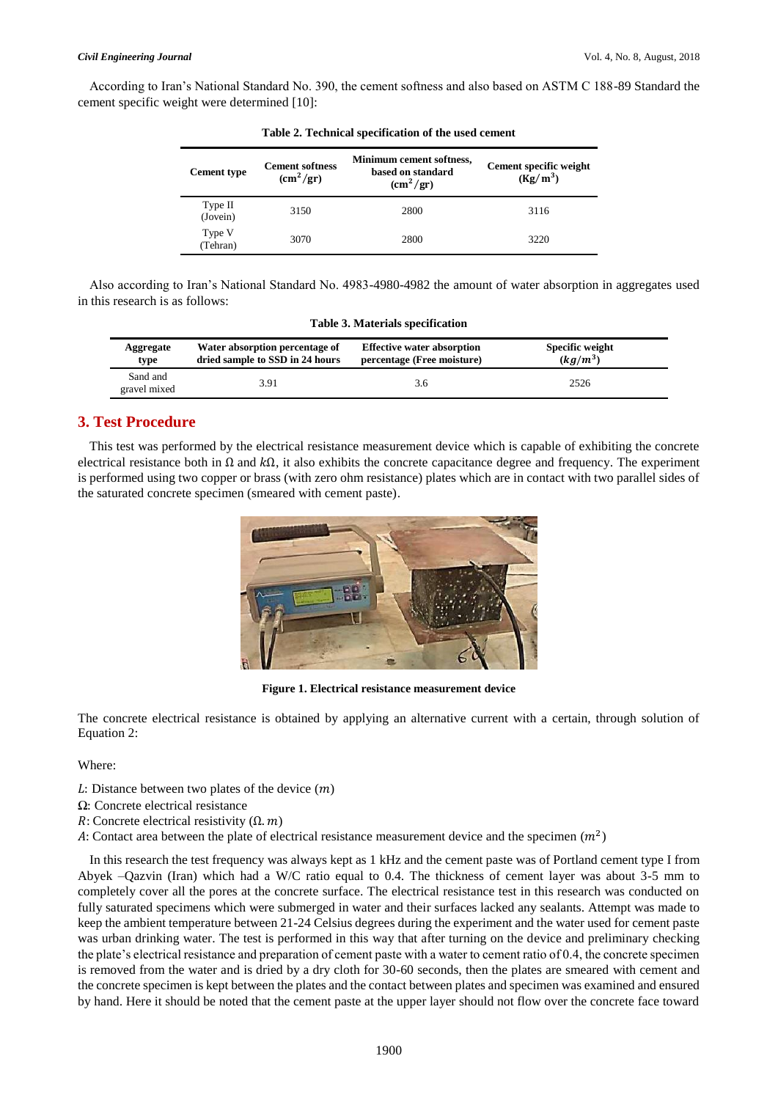#### *Civil Engineering Journal* Vol. 4, No. 8, August, 2018

According to Iran's National Standard No. 390, the cement softness and also based on ASTM C 188-89 Standard the cement specific weight were determined [10]:

| Table 2. I centificat specification of the asea centent |                                           |                                                                  |                                      |
|---------------------------------------------------------|-------------------------------------------|------------------------------------------------------------------|--------------------------------------|
| <b>Cement type</b>                                      | <b>Cement softness</b><br>$\rm (cm^2/gr)$ | Minimum cement softness,<br>based on standard<br>$\rm (cm^2/gr)$ | Cement specific weight<br>$(Kg/m^3)$ |
| Type II<br>(Jovein)                                     | 3150                                      | 2800                                                             | 3116                                 |
| Type V<br>(Tehran)                                      | 3070                                      | 2800                                                             | 3220                                 |

| Table 2. Technical specification of the used cement |  |  |  |  |  |  |
|-----------------------------------------------------|--|--|--|--|--|--|
|-----------------------------------------------------|--|--|--|--|--|--|

Also according to Iran's National Standard No. 4983-4980-4982 the amount of water absorption in aggregates used in this research is as follows:

| Table 3. Materials specification |                                                                   |                                                                 |                                      |  |
|----------------------------------|-------------------------------------------------------------------|-----------------------------------------------------------------|--------------------------------------|--|
| Aggregate<br>type                | Water absorption percentage of<br>dried sample to SSD in 24 hours | <b>Effective water absorption</b><br>percentage (Free moisture) | <b>Specific weight</b><br>$(kg/m^3)$ |  |
| Sand and<br>gravel mixed         | 3.91                                                              | 3.6                                                             | 2526                                 |  |

# **3. Test Procedure**

This test was performed by the electrical resistance measurement device which is capable of exhibiting the concrete electrical resistance both in  $\Omega$  and  $k\Omega$ , it also exhibits the concrete capacitance degree and frequency. The experiment is performed using two copper or brass (with zero ohm resistance) plates which are in contact with two parallel sides of the saturated concrete specimen (smeared with cement paste).



**Figure 1. Electrical resistance measurement device** 

The concrete electrical resistance is obtained by applying an alternative current with a certain, through solution of Equation 2:

Where:

- $L:$  Distance between two plates of the device  $(m)$
- Ω: Concrete electrical resistance
- $R:$  Concrete electrical resistivity  $(\Omega, m)$
- A: Contact area between the plate of electrical resistance measurement device and the specimen  $(m<sup>2</sup>)$

In this research the test frequency was always kept as 1 kHz and the cement paste was of Portland cement type I from Abyek –Qazvin (Iran) which had a W/C ratio equal to 0.4. The thickness of cement layer was about 3-5 mm to completely cover all the pores at the concrete surface. The electrical resistance test in this research was conducted on fully saturated specimens which were submerged in water and their surfaces lacked any sealants. Attempt was made to keep the ambient temperature between 21-24 Celsius degrees during the experiment and the water used for cement paste was urban drinking water. The test is performed in this way that after turning on the device and preliminary checking the plate's electrical resistance and preparation of cement paste with a water to cement ratio of 0.4, the concrete specimen is removed from the water and is dried by a dry cloth for 30-60 seconds, then the plates are smeared with cement and the concrete specimen is kept between the plates and the contact between plates and specimen was examined and ensured by hand. Here it should be noted that the cement paste at the upper layer should not flow over the concrete face toward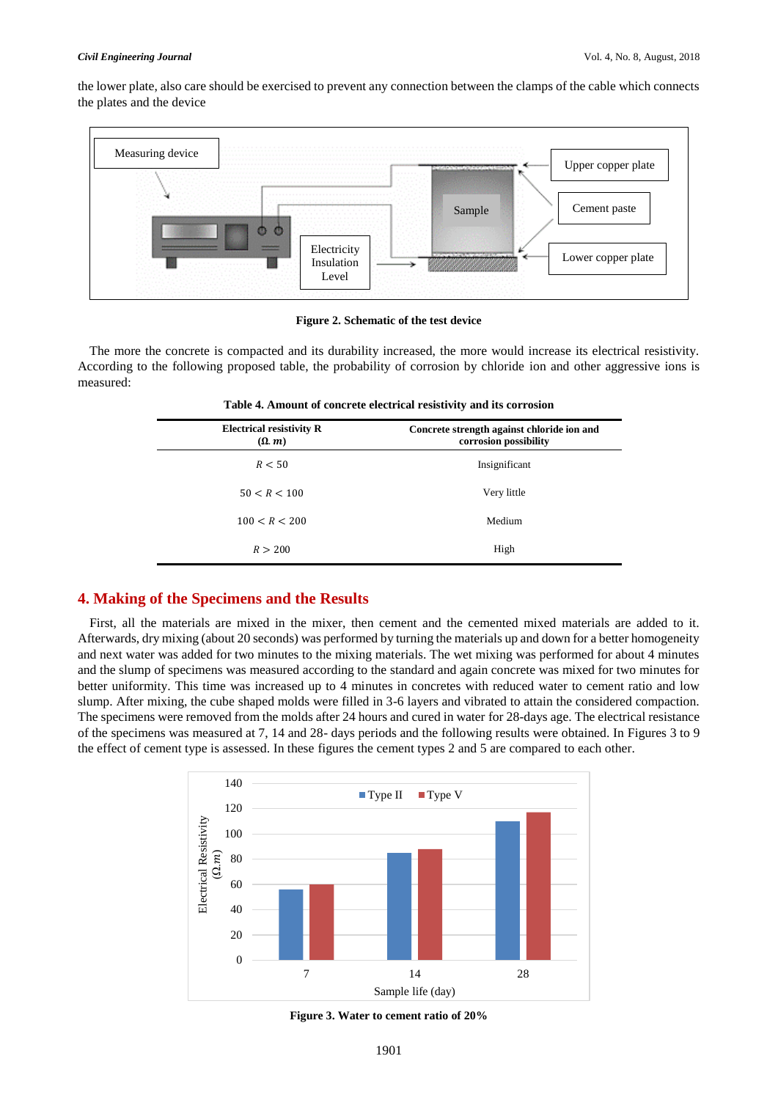#### *Civil Engineering Journal* Vol. 4, No. 8, August, 2018

the lower plate, also care should be exercised to prevent any connection between the clamps of the cable which connects the plates and the device



#### **Figure 2. Schematic of the test device**

The more the concrete is compacted and its durability increased, the more would increase its electrical resistivity. According to the following proposed table, the probability of corrosion by chloride ion and other aggressive ions is measured:

| Table 4. Amount of concrete electrical resistivity and its corrosion |  |  |  |
|----------------------------------------------------------------------|--|--|--|
|----------------------------------------------------------------------|--|--|--|

| Concrete strength against chloride ion and<br>corrosion possibility |
|---------------------------------------------------------------------|
| Insignificant                                                       |
| Very little                                                         |
| Medium                                                              |
| High                                                                |
|                                                                     |

## **4. Making of the Specimens and the Results**

First, all the materials are mixed in the mixer, then cement and the cemented mixed materials are added to it. Afterwards, dry mixing (about 20 seconds) was performed by turning the materials up and down for a better homogeneity and next water was added for two minutes to the mixing materials. The wet mixing was performed for about 4 minutes and the slump of specimens was measured according to the standard and again concrete was mixed for two minutes for better uniformity. This time was increased up to 4 minutes in concretes with reduced water to cement ratio and low slump. After mixing, the cube shaped molds were filled in 3-6 layers and vibrated to attain the considered compaction. The specimens were removed from the molds after 24 hours and cured in water for 28-days age. The electrical resistance of the specimens was measured at 7, 14 and 28- days periods and the following results were obtained. In Figures 3 to 9 the effect of cement type is assessed. In these figures the cement types 2 and 5 are compared to each other.



**Figure 3. Water to cement ratio of 20%**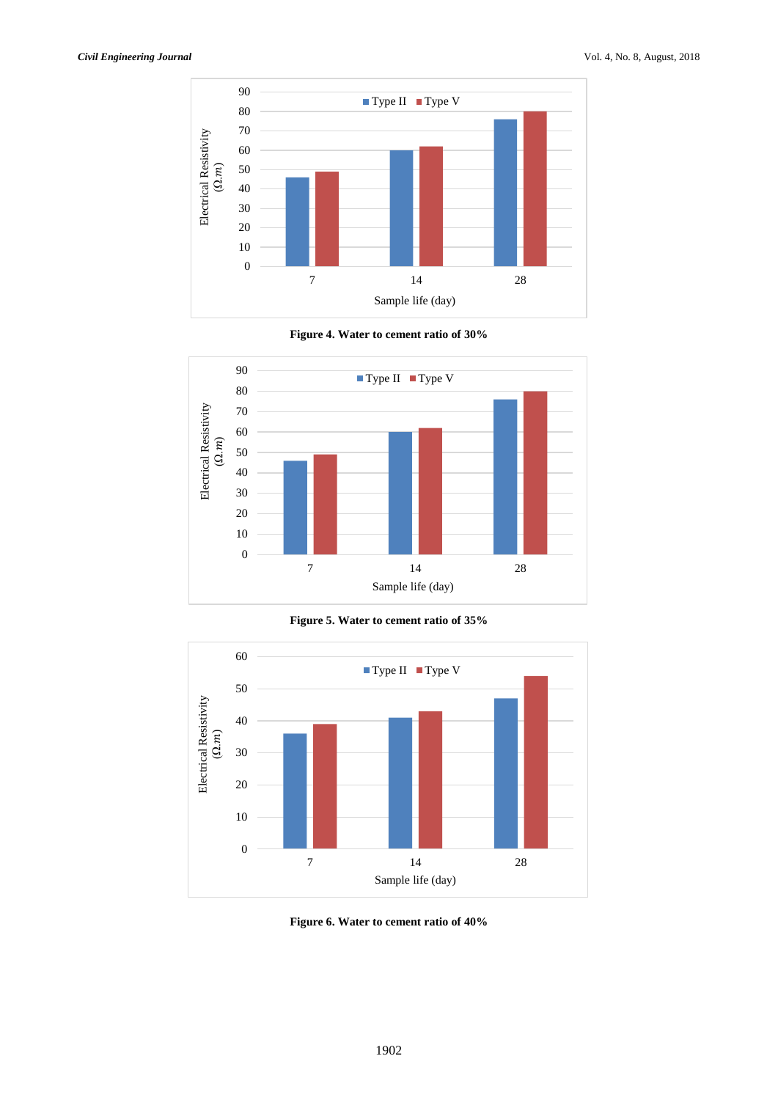

**Figure 4. Water to cement ratio of 30%**



**Figure 5. Water to cement ratio of 35%**



**Figure 6. Water to cement ratio of 40%**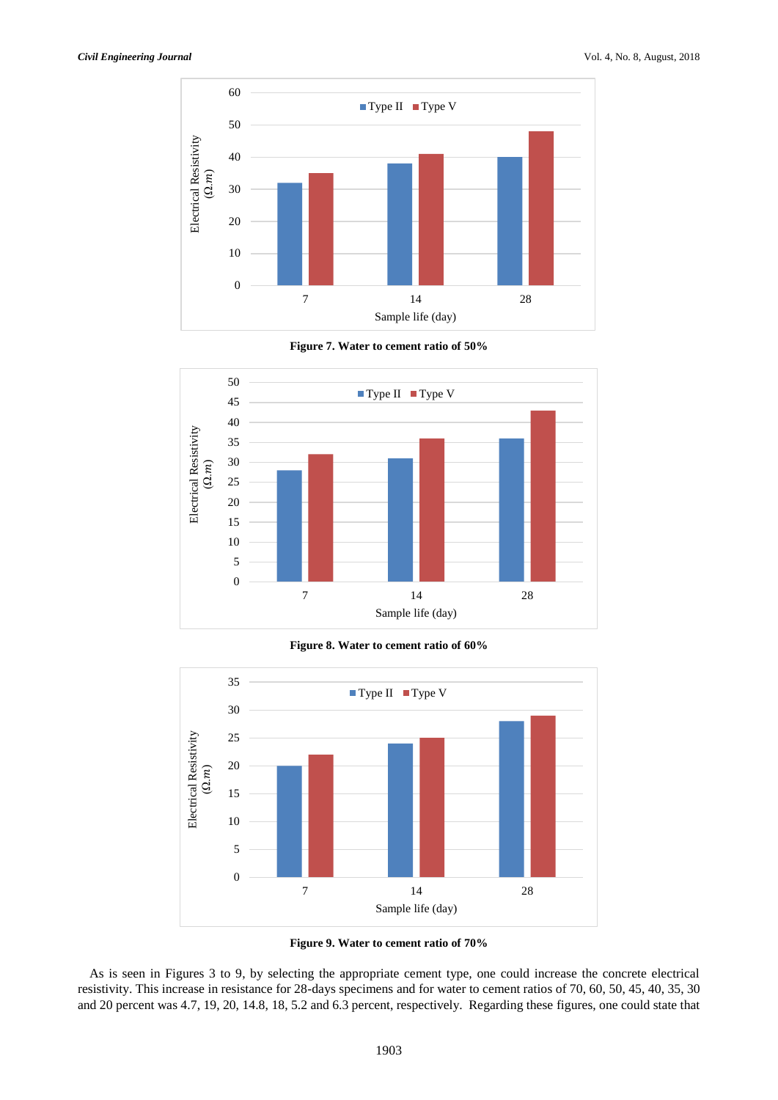

**Figure 7. Water to cement ratio of 50%**



**Figure 8. Water to cement ratio of 60%**



**Figure 9. Water to cement ratio of 70%**

As is seen in Figures 3 to 9, by selecting the appropriate cement type, one could increase the concrete electrical resistivity. This increase in resistance for 28-days specimens and for water to cement ratios of 70, 60, 50, 45, 40, 35, 30 and 20 percent was 4.7, 19, 20, 14.8, 18, 5.2 and 6.3 percent, respectively. Regarding these figures, one could state that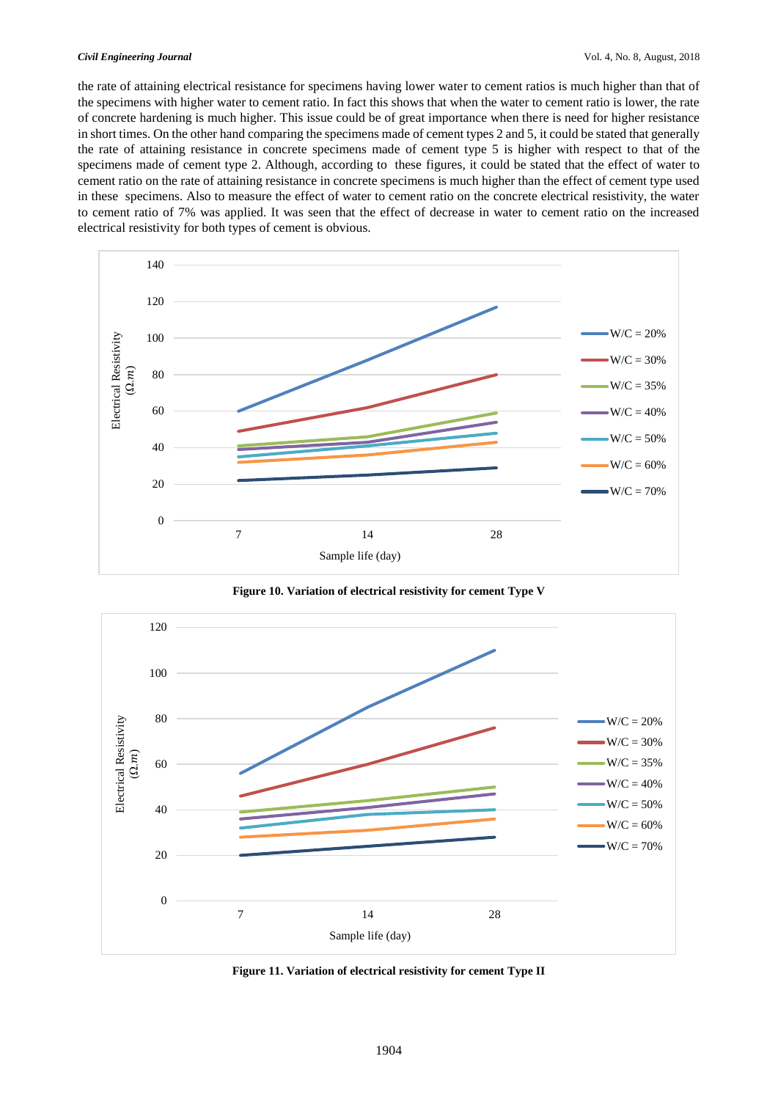the rate of attaining electrical resistance for specimens having lower water to cement ratios is much higher than that of the specimens with higher water to cement ratio. In fact this shows that when the water to cement ratio is lower, the rate of concrete hardening is much higher. This issue could be of great importance when there is need for higher resistance in short times. On the other hand comparing the specimens made of cement types 2 and 5, it could be stated that generally the rate of attaining resistance in concrete specimens made of cement type 5 is higher with respect to that of the specimens made of cement type 2. Although, according to these figures, it could be stated that the effect of water to cement ratio on the rate of attaining resistance in concrete specimens is much higher than the effect of cement type used in these specimens. Also to measure the effect of water to cement ratio on the concrete electrical resistivity, the water to cement ratio of 7% was applied. It was seen that the effect of decrease in water to cement ratio on the increased electrical resistivity for both types of cement is obvious.



**Figure 10. Variation of electrical resistivity for cement Type V**



**Figure 11. Variation of electrical resistivity for cement Type II**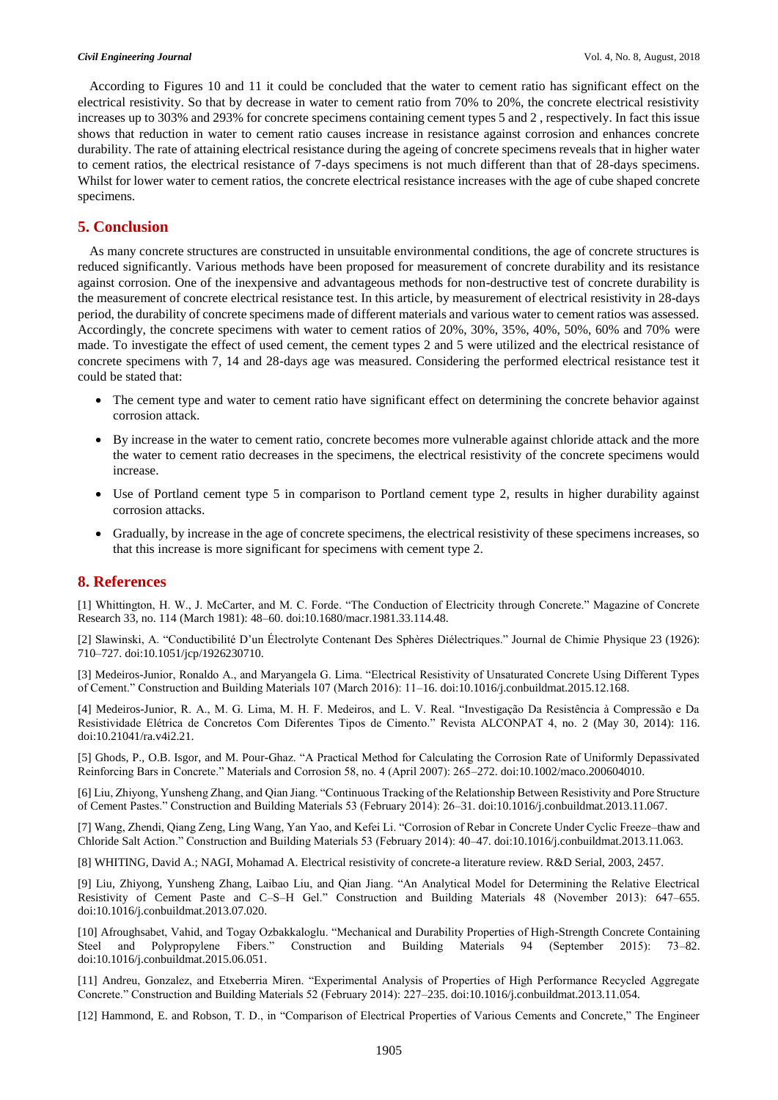According to Figures 10 and 11 it could be concluded that the water to cement ratio has significant effect on the electrical resistivity. So that by decrease in water to cement ratio from 70% to 20%, the concrete electrical resistivity increases up to 303% and 293% for concrete specimens containing cement types 5 and 2 , respectively. In fact this issue shows that reduction in water to cement ratio causes increase in resistance against corrosion and enhances concrete durability. The rate of attaining electrical resistance during the ageing of concrete specimens reveals that in higher water to cement ratios, the electrical resistance of 7-days specimens is not much different than that of 28-days specimens. Whilst for lower water to cement ratios, the concrete electrical resistance increases with the age of cube shaped concrete specimens.

# **5. Conclusion**

As many concrete structures are constructed in unsuitable environmental conditions, the age of concrete structures is reduced significantly. Various methods have been proposed for measurement of concrete durability and its resistance against corrosion. One of the inexpensive and advantageous methods for non-destructive test of concrete durability is the measurement of concrete electrical resistance test. In this article, by measurement of electrical resistivity in 28-days period, the durability of concrete specimens made of different materials and various water to cement ratios was assessed. Accordingly, the concrete specimens with water to cement ratios of 20%, 30%, 35%, 40%, 50%, 60% and 70% were made. To investigate the effect of used cement, the cement types 2 and 5 were utilized and the electrical resistance of concrete specimens with 7, 14 and 28-days age was measured. Considering the performed electrical resistance test it could be stated that:

- The cement type and water to cement ratio have significant effect on determining the concrete behavior against corrosion attack.
- By increase in the water to cement ratio, concrete becomes more vulnerable against chloride attack and the more the water to cement ratio decreases in the specimens, the electrical resistivity of the concrete specimens would increase.
- Use of Portland cement type 5 in comparison to Portland cement type 2, results in higher durability against corrosion attacks.
- Gradually, by increase in the age of concrete specimens, the electrical resistivity of these specimens increases, so that this increase is more significant for specimens with cement type 2.

# **8. References**

[1] Whittington, H. W., J. McCarter, and M. C. Forde. "The Conduction of Electricity through Concrete." Magazine of Concrete Research 33, no. 114 (March 1981): 48–60. doi:10.1680/macr.1981.33.114.48.

[2] Slawinski, A. "Conductibilité D'un Électrolyte Contenant Des Sphères Diélectriques." Journal de Chimie Physique 23 (1926): 710–727. doi:10.1051/jcp/1926230710.

[3] Medeiros-Junior, Ronaldo A., and Maryangela G. Lima. "Electrical Resistivity of Unsaturated Concrete Using Different Types of Cement." Construction and Building Materials 107 (March 2016): 11–16. doi:10.1016/j.conbuildmat.2015.12.168.

[4] Medeiros-Junior, R. A., M. G. Lima, M. H. F. Medeiros, and L. V. Real. "Investigação Da Resistência à Compressão e Da Resistividade Elétrica de Concretos Com Diferentes Tipos de Cimento." Revista ALCONPAT 4, no. 2 (May 30, 2014): 116. doi:10.21041/ra.v4i2.21.

[5] Ghods, P., O.B. Isgor, and M. Pour-Ghaz. "A Practical Method for Calculating the Corrosion Rate of Uniformly Depassivated Reinforcing Bars in Concrete." Materials and Corrosion 58, no. 4 (April 2007): 265–272. doi:10.1002/maco.200604010.

[6] Liu, Zhiyong, Yunsheng Zhang, and Qian Jiang. "Continuous Tracking of the Relationship Between Resistivity and Pore Structure of Cement Pastes." Construction and Building Materials 53 (February 2014): 26–31. doi:10.1016/j.conbuildmat.2013.11.067.

[7] Wang, Zhendi, Qiang Zeng, Ling Wang, Yan Yao, and Kefei Li. "Corrosion of Rebar in Concrete Under Cyclic Freeze–thaw and Chloride Salt Action." Construction and Building Materials 53 (February 2014): 40–47. doi:10.1016/j.conbuildmat.2013.11.063.

[8] WHITING, David A.; NAGI, Mohamad A. Electrical resistivity of concrete-a literature review. R&D Serial, 2003, 2457.

[9] Liu, Zhiyong, Yunsheng Zhang, Laibao Liu, and Qian Jiang. "An Analytical Model for Determining the Relative Electrical Resistivity of Cement Paste and C–S–H Gel." Construction and Building Materials 48 (November 2013): 647–655. doi:10.1016/j.conbuildmat.2013.07.020.

[10] Afroughsabet, Vahid, and Togay Ozbakkaloglu. "Mechanical and Durability Properties of High-Strength Concrete Containing Steel and Polypropylene Fibers." Construction and Building Materials 94 (September 2015): 73–82. doi:10.1016/j.conbuildmat.2015.06.051.

[11] Andreu, Gonzalez, and Etxeberria Miren. "Experimental Analysis of Properties of High Performance Recycled Aggregate Concrete." Construction and Building Materials 52 (February 2014): 227–235. doi:10.1016/j.conbuildmat.2013.11.054.

[12] Hammond, E. and Robson, T. D., in "Comparison of Electrical Properties of Various Cements and Concrete," The Engineer